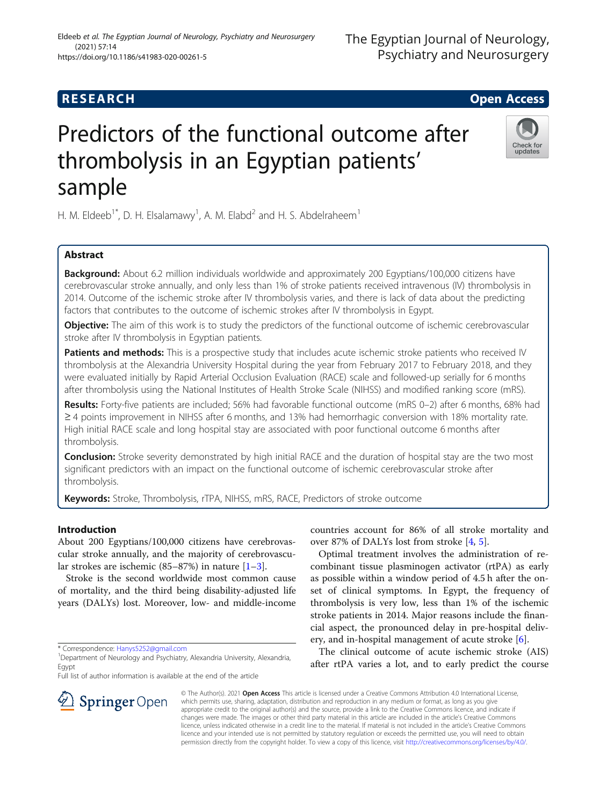# **RESEARCH CHE Open Access**

# Predictors of the functional outcome after thrombolysis in an Egyptian patients' sample

H. M. Eldeeb<sup>1\*</sup>, D. H. Elsalamawy<sup>1</sup>, A. M. Elabd<sup>2</sup> and H. S. Abdelraheem<sup>1</sup>

# Abstract

**Background:** About 6.2 million individuals worldwide and approximately 200 Egyptians/100,000 citizens have cerebrovascular stroke annually, and only less than 1% of stroke patients received intravenous (IV) thrombolysis in 2014. Outcome of the ischemic stroke after IV thrombolysis varies, and there is lack of data about the predicting factors that contributes to the outcome of ischemic strokes after IV thrombolysis in Egypt.

**Objective:** The aim of this work is to study the predictors of the functional outcome of ischemic cerebrovascular stroke after IV thrombolysis in Egyptian patients.

Patients and methods: This is a prospective study that includes acute ischemic stroke patients who received IV thrombolysis at the Alexandria University Hospital during the year from February 2017 to February 2018, and they were evaluated initially by Rapid Arterial Occlusion Evaluation (RACE) scale and followed-up serially for 6 months after thrombolysis using the National Institutes of Health Stroke Scale (NIHSS) and modified ranking score (mRS).

Results: Forty-five patients are included; 56% had favorable functional outcome (mRS 0–2) after 6 months, 68% had ≥ 4 points improvement in NIHSS after 6 months, and 13% had hemorrhagic conversion with 18% mortality rate. High initial RACE scale and long hospital stay are associated with poor functional outcome 6 months after thrombolysis.

Conclusion: Stroke severity demonstrated by high initial RACE and the duration of hospital stay are the two most significant predictors with an impact on the functional outcome of ischemic cerebrovascular stroke after thrombolysis.

Keywords: Stroke, Thrombolysis, rTPA, NIHSS, mRS, RACE, Predictors of stroke outcome

# Introduction

About 200 Egyptians/100,000 citizens have cerebrovascular stroke annually, and the majority of cerebrovascular strokes are ischemic  $(85-87%)$  in nature  $[1-3]$  $[1-3]$  $[1-3]$ .

Stroke is the second worldwide most common cause of mortality, and the third being disability-adjusted life years (DALYs) lost. Moreover, low- and middle-income

\* Correspondence: [Hanys5252@gmail.com](mailto:Hanys5252@gmail.com) <sup>1</sup>

 $\mathcal{L}$  Springer Open

<sup>1</sup> Department of Neurology and Psychiatry, Alexandria University, Alexandria, Egypt

Full list of author information is available at the end of the article

countries account for 86% of all stroke mortality and over 87% of DALYs lost from stroke [[4,](#page-10-0) [5\]](#page-10-0).

Optimal treatment involves the administration of recombinant tissue plasminogen activator (rtPA) as early as possible within a window period of 4.5 h after the onset of clinical symptoms. In Egypt, the frequency of thrombolysis is very low, less than 1% of the ischemic stroke patients in 2014. Major reasons include the financial aspect, the pronounced delay in pre-hospital delivery, and in-hospital management of acute stroke [\[6](#page-10-0)].

The clinical outcome of acute ischemic stroke (AIS) after rtPA varies a lot, and to early predict the course

© The Author(s). 2021 Open Access This article is licensed under a Creative Commons Attribution 4.0 International License, which permits use, sharing, adaptation, distribution and reproduction in any medium or format, as long as you give appropriate credit to the original author(s) and the source, provide a link to the Creative Commons licence, and indicate if changes were made. The images or other third party material in this article are included in the article's Creative Commons licence, unless indicated otherwise in a credit line to the material. If material is not included in the article's Creative Commons licence and your intended use is not permitted by statutory regulation or exceeds the permitted use, you will need to obtain permission directly from the copyright holder. To view a copy of this licence, visit <http://creativecommons.org/licenses/by/4.0/>.





# The Egyptian Journal of Neurology, Psychiatry and Neurosurgery

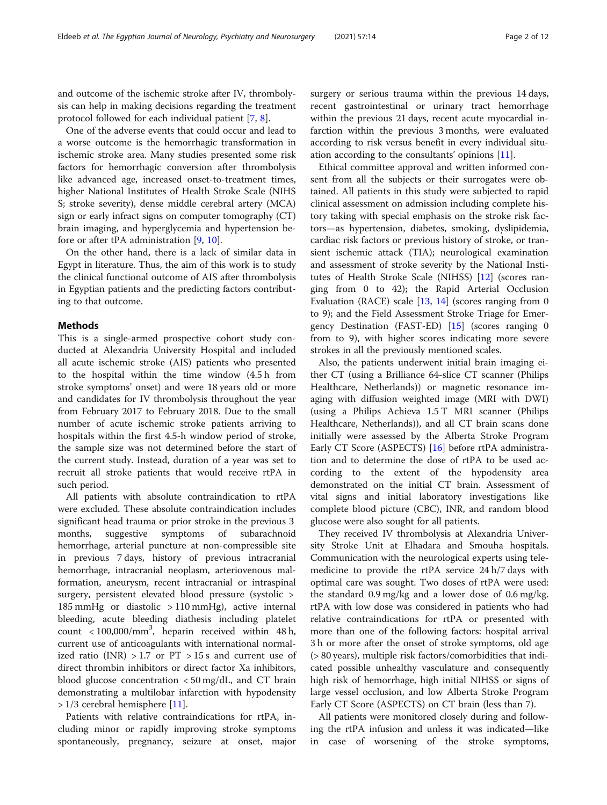and outcome of the ischemic stroke after IV, thrombolysis can help in making decisions regarding the treatment protocol followed for each individual patient [\[7](#page-10-0), [8](#page-10-0)].

One of the adverse events that could occur and lead to a worse outcome is the hemorrhagic transformation in ischemic stroke area. Many studies presented some risk factors for hemorrhagic conversion after thrombolysis like advanced age, increased onset-to-treatment times, higher National Institutes of Health Stroke Scale (NIHS S; stroke severity), dense middle cerebral artery (MCA) sign or early infract signs on computer tomography (CT) brain imaging, and hyperglycemia and hypertension before or after tPA administration [\[9](#page-10-0), [10\]](#page-10-0).

On the other hand, there is a lack of similar data in Egypt in literature. Thus, the aim of this work is to study the clinical functional outcome of AIS after thrombolysis in Egyptian patients and the predicting factors contributing to that outcome.

#### Methods

This is a single-armed prospective cohort study conducted at Alexandria University Hospital and included all acute ischemic stroke (AIS) patients who presented to the hospital within the time window (4.5 h from stroke symptoms' onset) and were 18 years old or more and candidates for IV thrombolysis throughout the year from February 2017 to February 2018. Due to the small number of acute ischemic stroke patients arriving to hospitals within the first 4.5-h window period of stroke, the sample size was not determined before the start of the current study. Instead, duration of a year was set to recruit all stroke patients that would receive rtPA in such period.

All patients with absolute contraindication to rtPA were excluded. These absolute contraindication includes significant head trauma or prior stroke in the previous 3 months, suggestive symptoms of subarachnoid hemorrhage, arterial puncture at non-compressible site in previous 7 days, history of previous intracranial hemorrhage, intracranial neoplasm, arteriovenous malformation, aneurysm, recent intracranial or intraspinal surgery, persistent elevated blood pressure (systolic > 185 mmHg or diastolic > 110 mmHg), active internal bleeding, acute bleeding diathesis including platelet count  $<$  100,000/mm<sup>3</sup>, heparin received within 48 h, current use of anticoagulants with international normalized ratio (INR)  $>1.7$  or PT  $>15$  s and current use of direct thrombin inhibitors or direct factor Xa inhibitors, blood glucose concentration  $\langle 50 \text{ mg/dL} \rangle$ , and CT brain demonstrating a multilobar infarction with hypodensity  $> 1/3$  cerebral hemisphere [\[11](#page-10-0)].

Patients with relative contraindications for rtPA, including minor or rapidly improving stroke symptoms spontaneously, pregnancy, seizure at onset, major surgery or serious trauma within the previous 14 days, recent gastrointestinal or urinary tract hemorrhage within the previous 21 days, recent acute myocardial infarction within the previous 3 months, were evaluated according to risk versus benefit in every individual situation according to the consultants' opinions [[11\]](#page-10-0).

Ethical committee approval and written informed consent from all the subjects or their surrogates were obtained. All patients in this study were subjected to rapid clinical assessment on admission including complete history taking with special emphasis on the stroke risk factors—as hypertension, diabetes, smoking, dyslipidemia, cardiac risk factors or previous history of stroke, or transient ischemic attack (TIA); neurological examination and assessment of stroke severity by the National Institutes of Health Stroke Scale (NIHSS) [\[12](#page-10-0)] (scores ranging from 0 to 42); the Rapid Arterial Occlusion Evaluation (RACE) scale  $[13, 14]$  $[13, 14]$  $[13, 14]$  (scores ranging from 0 to 9); and the Field Assessment Stroke Triage for Emergency Destination (FAST-ED) [\[15\]](#page-10-0) (scores ranging 0 from to 9), with higher scores indicating more severe strokes in all the previously mentioned scales.

Also, the patients underwent initial brain imaging either CT (using a Brilliance 64-slice CT scanner (Philips Healthcare, Netherlands)) or magnetic resonance imaging with diffusion weighted image (MRI with DWI) (using a Philips Achieva 1.5 T MRI scanner (Philips Healthcare, Netherlands)), and all CT brain scans done initially were assessed by the Alberta Stroke Program Early CT Score (ASPECTS) [\[16](#page-10-0)] before rtPA administration and to determine the dose of rtPA to be used according to the extent of the hypodensity area demonstrated on the initial CT brain. Assessment of vital signs and initial laboratory investigations like complete blood picture (CBC), INR, and random blood glucose were also sought for all patients.

They received IV thrombolysis at Alexandria University Stroke Unit at Elhadara and Smouha hospitals. Communication with the neurological experts using telemedicine to provide the rtPA service 24 h/7 days with optimal care was sought. Two doses of rtPA were used: the standard 0.9 mg/kg and a lower dose of 0.6 mg/kg. rtPA with low dose was considered in patients who had relative contraindications for rtPA or presented with more than one of the following factors: hospital arrival 3 h or more after the onset of stroke symptoms, old age (> 80 years), multiple risk factors/comorbidities that indicated possible unhealthy vasculature and consequently high risk of hemorrhage, high initial NIHSS or signs of large vessel occlusion, and low Alberta Stroke Program Early CT Score (ASPECTS) on CT brain (less than 7).

All patients were monitored closely during and following the rtPA infusion and unless it was indicated—like in case of worsening of the stroke symptoms,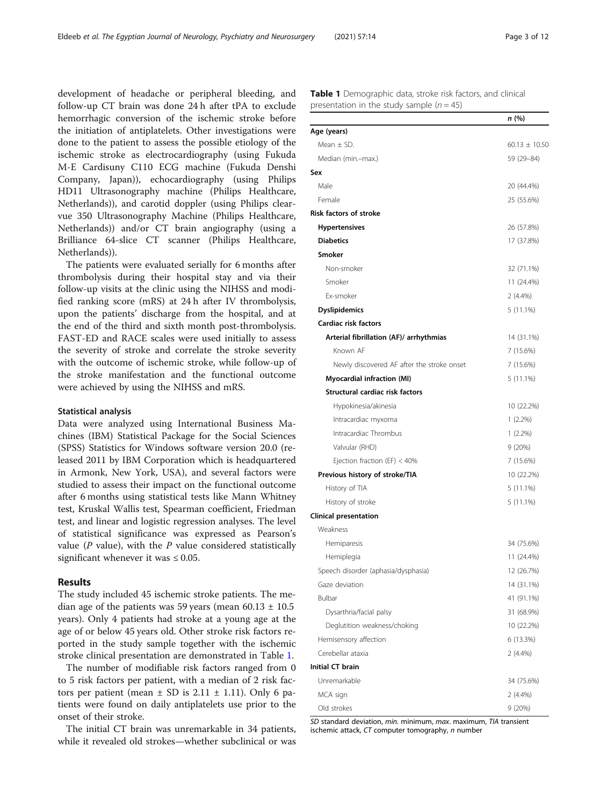development of headache or peripheral bleeding, and follow-up CT brain was done 24 h after tPA to exclude hemorrhagic conversion of the ischemic stroke before the initiation of antiplatelets. Other investigations were done to the patient to assess the possible etiology of the ischemic stroke as electrocardiography (using Fukuda M-E Cardisuny C110 ECG machine (Fukuda Denshi Company, Japan)), echocardiography (using Philips HD11 Ultrasonography machine (Philips Healthcare, Netherlands)), and carotid doppler (using Philips clearvue 350 Ultrasonography Machine (Philips Healthcare, Netherlands)) and/or CT brain angiography (using a Brilliance 64-slice CT scanner (Philips Healthcare, Netherlands)).

The patients were evaluated serially for 6 months after thrombolysis during their hospital stay and via their follow-up visits at the clinic using the NIHSS and modified ranking score (mRS) at 24 h after IV thrombolysis, upon the patients' discharge from the hospital, and at the end of the third and sixth month post-thrombolysis. FAST-ED and RACE scales were used initially to assess the severity of stroke and correlate the stroke severity with the outcome of ischemic stroke, while follow-up of the stroke manifestation and the functional outcome were achieved by using the NIHSS and mRS.

## Statistical analysis

Data were analyzed using International Business Machines (IBM) Statistical Package for the Social Sciences (SPSS) Statistics for Windows software version 20.0 (released 2011 by IBM Corporation which is headquartered in Armonk, New York, USA), and several factors were studied to assess their impact on the functional outcome after 6 months using statistical tests like Mann Whitney test, Kruskal Wallis test, Spearman coefficient, Friedman test, and linear and logistic regression analyses. The level of statistical significance was expressed as Pearson's value ( $P$  value), with the  $P$  value considered statistically significant whenever it was  $\leq 0.05$ .

## Results

The study included 45 ischemic stroke patients. The median age of the patients was 59 years (mean  $60.13 \pm 10.5$ years). Only 4 patients had stroke at a young age at the age of or below 45 years old. Other stroke risk factors reported in the study sample together with the ischemic stroke clinical presentation are demonstrated in Table 1.

The number of modifiable risk factors ranged from 0 to 5 risk factors per patient, with a median of 2 risk factors per patient (mean  $\pm$  SD is 2.11  $\pm$  1.11). Only 6 patients were found on daily antiplatelets use prior to the onset of their stroke.

The initial CT brain was unremarkable in 34 patients, while it revealed old strokes—whether subclinical or was Table 1 Demographic data, stroke risk factors, and clinical presentation in the study sample  $(n = 45)$ 

|                                            | n (%)             |
|--------------------------------------------|-------------------|
| Age (years)                                |                   |
| Mean $\pm$ SD.                             | 60.13 $\pm$ 10.50 |
| Median (min.-max.)                         | 59 (29-84)        |
| Sex                                        |                   |
| Male                                       | 20 (44.4%)        |
| Female                                     | 25 (55.6%)        |
| <b>Risk factors of stroke</b>              |                   |
| <b>Hypertensives</b>                       | 26 (57.8%)        |
| <b>Diabetics</b>                           | 17 (37.8%)        |
| <b>Smoker</b>                              |                   |
| Non-smoker                                 | 32 (71.1%)        |
| Smoker                                     | 11 (24.4%)        |
| Ex-smoker                                  | $2(4.4\%)$        |
| <b>Dyslipidemics</b>                       | $5(11.1\%)$       |
| Cardiac risk factors                       |                   |
| Arterial fibrillation (AF)/ arrhythmias    | 14 (31.1%)        |
| Known AF                                   | 7 (15.6%)         |
| Newly discovered AF after the stroke onset | 7 (15.6%)         |
| <b>Myocardial infraction (MI)</b>          | 5 (11.1%)         |
| Structural cardiac risk factors            |                   |
| Hypokinesia/akinesia                       | 10 (22.2%)        |
| Intracardiac myxoma                        | $1(2.2\%)$        |
| Intracardiac Thrombus                      | $1(2.2\%)$        |
| Valvular (RHD)                             | 9(20%)            |
| Ejection fraction (EF) $<$ 40%             | 7 (15.6%)         |
| Previous history of stroke/TIA             | 10 (22.2%)        |
| History of TIA                             | $5(11.1\%)$       |
| History of stroke                          | $5(11.1\%)$       |
| Clinical presentation                      |                   |
| Weakness                                   |                   |
| Hemiparesis                                | 34 (75.6%)        |
| Hemiplegia                                 | 11 (24.4%)        |
| Speech disorder (aphasia/dysphasia)        | 12 (26.7%)        |
| Gaze deviation                             | 14 (31.1%)        |
| Bulbar                                     | 41 (91.1%)        |
| Dysarthria/facial palsy                    | 31 (68.9%)        |
| Deglutition weakness/choking               | 10 (22.2%)        |
| Hemisensory affection                      | 6 (13.3%)         |
| Cerebellar ataxia                          | $2(4.4\%)$        |
| Initial CT brain                           |                   |
| Unremarkable                               | 34 (75.6%)        |
| MCA sign                                   | 2 (4.4%)          |
| Old strokes                                | 9(20%)            |

SD standard deviation, min. minimum, max. maximum, TIA transient ischemic attack, CT computer tomography, n number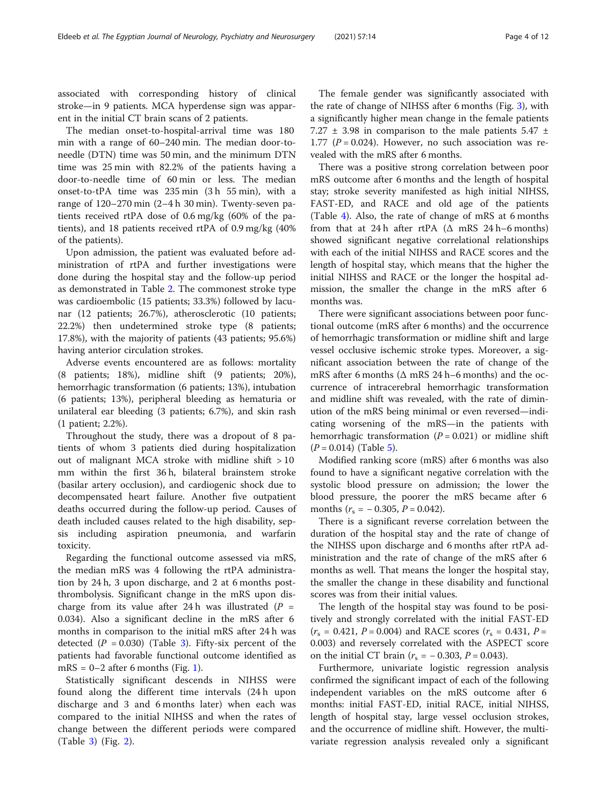associated with corresponding history of clinical stroke—in 9 patients. MCA hyperdense sign was apparent in the initial CT brain scans of 2 patients.

The median onset-to-hospital-arrival time was 180 min with a range of 60–240 min. The median door-toneedle (DTN) time was 50 min, and the minimum DTN time was 25 min with 82.2% of the patients having a door-to-needle time of 60 min or less. The median onset-to-tPA time was 235 min (3 h 55 min), with a range of 120–270 min (2–4 h 30 min). Twenty-seven patients received rtPA dose of 0.6 mg/kg (60% of the patients), and 18 patients received rtPA of 0.9 mg/kg (40% of the patients).

Upon admission, the patient was evaluated before administration of rtPA and further investigations were done during the hospital stay and the follow-up period as demonstrated in Table [2.](#page-4-0) The commonest stroke type was cardioembolic (15 patients; 33.3%) followed by lacunar (12 patients; 26.7%), atherosclerotic (10 patients; 22.2%) then undetermined stroke type (8 patients; 17.8%), with the majority of patients (43 patients; 95.6%) having anterior circulation strokes.

Adverse events encountered are as follows: mortality (8 patients; 18%), midline shift (9 patients; 20%), hemorrhagic transformation (6 patients; 13%), intubation (6 patients; 13%), peripheral bleeding as hematuria or unilateral ear bleeding (3 patients; 6.7%), and skin rash (1 patient; 2.2%).

Throughout the study, there was a dropout of 8 patients of whom 3 patients died during hospitalization out of malignant MCA stroke with midline shift > 10 mm within the first 36 h, bilateral brainstem stroke (basilar artery occlusion), and cardiogenic shock due to decompensated heart failure. Another five outpatient deaths occurred during the follow-up period. Causes of death included causes related to the high disability, sepsis including aspiration pneumonia, and warfarin toxicity.

Regarding the functional outcome assessed via mRS, the median mRS was 4 following the rtPA administration by 24 h, 3 upon discharge, and 2 at 6 months postthrombolysis. Significant change in the mRS upon discharge from its value after 24 h was illustrated  $(P =$ 0.034). Also a significant decline in the mRS after 6 months in comparison to the initial mRS after 24 h was detected  $(P = 0.030)$  $(P = 0.030)$  $(P = 0.030)$  (Table 3). Fifty-six percent of the patients had favorable functional outcome identified as  $mRS = 0-2$  after 6 months (Fig. [1](#page-5-0)).

Statistically significant descends in NIHSS were found along the different time intervals (24 h upon discharge and 3 and 6 months later) when each was compared to the initial NIHSS and when the rates of change between the different periods were compared (Table [3](#page-5-0)) (Fig. [2\)](#page-6-0).

The female gender was significantly associated with the rate of change of NIHSS after 6 months (Fig. [3](#page-6-0)), with a significantly higher mean change in the female patients 7.27  $\pm$  3.98 in comparison to the male patients 5.47  $\pm$ 1.77 ( $P = 0.024$ ). However, no such association was revealed with the mRS after 6 months.

There was a positive strong correlation between poor mRS outcome after 6 months and the length of hospital stay; stroke severity manifested as high initial NIHSS, FAST-ED, and RACE and old age of the patients (Table [4\)](#page-7-0). Also, the rate of change of mRS at 6 months from that at 24 h after rtPA  $( \Delta$  mRS 24 h–6 months) showed significant negative correlational relationships with each of the initial NIHSS and RACE scores and the length of hospital stay, which means that the higher the initial NIHSS and RACE or the longer the hospital admission, the smaller the change in the mRS after 6 months was.

There were significant associations between poor functional outcome (mRS after 6 months) and the occurrence of hemorrhagic transformation or midline shift and large vessel occlusive ischemic stroke types. Moreover, a significant association between the rate of change of the mRS after 6 months ( $\Delta$  mRS 24 h–6 months) and the occurrence of intracerebral hemorrhagic transformation and midline shift was revealed, with the rate of diminution of the mRS being minimal or even reversed—indicating worsening of the mRS—in the patients with hemorrhagic transformation ( $P = 0.021$ ) or midline shift  $(P = 0.014)$  (Table [5\)](#page-7-0).

Modified ranking score (mRS) after 6 months was also found to have a significant negative correlation with the systolic blood pressure on admission; the lower the blood pressure, the poorer the mRS became after 6 months  $(r_s = -0.305, P = 0.042)$ .

There is a significant reverse correlation between the duration of the hospital stay and the rate of change of the NIHSS upon discharge and 6 months after rtPA administration and the rate of change of the mRS after 6 months as well. That means the longer the hospital stay, the smaller the change in these disability and functional scores was from their initial values.

The length of the hospital stay was found to be positively and strongly correlated with the initial FAST-ED  $(r<sub>s</sub> = 0.421, P = 0.004)$  and RACE scores  $(r<sub>s</sub> = 0.431, P =$ 0.003) and reversely correlated with the ASPECT score on the initial CT brain  $(r_s = -0.303, P = 0.043)$ .

Furthermore, univariate logistic regression analysis confirmed the significant impact of each of the following independent variables on the mRS outcome after 6 months: initial FAST-ED, initial RACE, initial NIHSS, length of hospital stay, large vessel occlusion strokes, and the occurrence of midline shift. However, the multivariate regression analysis revealed only a significant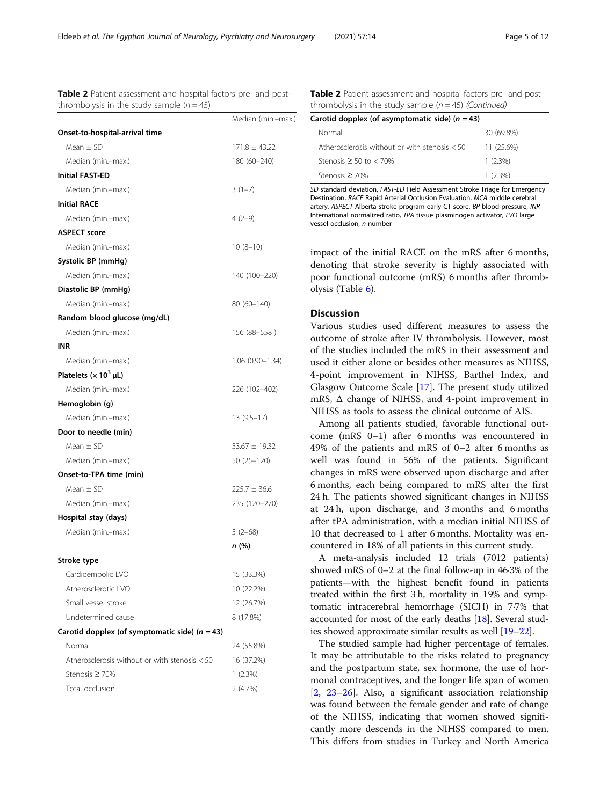Table 2 Patient assessment and hospital factors pre- and postthrombolysis in the study sample  $(n = 45)$ 

<span id="page-4-0"></span>

| - - - | $-$ | . . | __<br>__ |
|-------|-----|-----|----------|
|       |     |     |          |
|       |     |     |          |
|       |     |     |          |
|       |     |     |          |
|       |     |     |          |
|       |     |     |          |
|       |     |     |          |
|       |     |     |          |
|       |     |     |          |
|       |     |     |          |
|       |     |     |          |

|                                                  | Median (min.-max.) |
|--------------------------------------------------|--------------------|
| Onset-to-hospital-arrival time                   |                    |
| Mean $\pm$ SD                                    | $171.8 \pm 43.22$  |
| Median (min.-max.)                               | 180 (60-240)       |
| <b>Initial FAST-ED</b>                           |                    |
| Median (min.-max.)                               | $3(1-7)$           |
| <b>Initial RACE</b>                              |                    |
| Median (min.-max.)                               | $4(2-9)$           |
| <b>ASPECT score</b>                              |                    |
| Median (min.-max.)                               | $10(8-10)$         |
| Systolic BP (mmHg)                               |                    |
| Median (min.-max.)                               | 140 (100–220)      |
| Diastolic BP (mmHg)                              |                    |
| Median (min.-max.)                               | 80 (60–140)        |
| Random blood glucose (mg/dL)                     |                    |
| Median (min.-max.)                               | 156 (88–558)       |
| INR                                              |                    |
| Median (min.-max.)                               | 1.06 (0.90–1.34)   |
| Platelets ( $\times$ 10 <sup>3</sup> µL)         |                    |
| Median (min.-max.)                               | 226 (102-402)      |
| Hemoglobin (g)                                   |                    |
| Median (min.-max.)                               | $13(9.5-17)$       |
| Door to needle (min)                             |                    |
| Mean $\pm$ SD                                    | $53.67 \pm 19.32$  |
| Median (min.-max.)                               | 50 (25 – 120)      |
| Onset-to-TPA time (min)                          |                    |
| Mean $\pm$ SD                                    | $225.7 \pm 36.6$   |
| Median (min.-max.)                               | 235 (120-270)      |
| Hospital stay (days)                             |                    |
| Median (min.-max.)                               | $5(2-68)$          |
|                                                  | n (%)              |
| Stroke type                                      |                    |
| Cardioembolic LVO                                | 15 (33.3%)         |
| Atherosclerotic LVO                              | 10 (22.2%)         |
| Small vessel stroke                              | 12 (26.7%)         |
| Undetermined cause                               | 8 (17.8%)          |
| Carotid dopplex (of symptomatic side) $(n = 43)$ |                    |
| Normal                                           | 24 (55.8%)         |
| Atherosclerosis without or with stenosis < 50    | 16 (37.2%)         |
| Stenosis ≥ 70%                                   | $1(2.3\%)$         |
| Total occlusion                                  | 2 (4.7%)           |

Table 2 Patient assessment and hospital factors pre- and postthrombolysis in the study sample  $(n = 45)$  (Continued)

| Carotid dopplex (of asymptomatic side) $(n = 43)$ |              |  |  |  |  |  |  |
|---------------------------------------------------|--------------|--|--|--|--|--|--|
| Normal                                            | 30 (69.8%)   |  |  |  |  |  |  |
| Atherosclerosis without or with stenosis $< 50$   | $11(25.6\%)$ |  |  |  |  |  |  |
| Stenosis $\geq$ 50 to $<$ 70%                     | $1(2.3\%)$   |  |  |  |  |  |  |
| Stenosis $\geq$ 70%                               | $1(2.3\%)$   |  |  |  |  |  |  |

SD standard deviation, FAST-ED Field Assessment Stroke Triage for Emergency Destination, RACE Rapid Arterial Occlusion Evaluation, MCA middle cerebral artery, ASPECT Alberta stroke program early CT score, BP blood pressure, INR International normalized ratio, TPA tissue plasminogen activator, LVO large vessel occlusion, n number

impact of the initial RACE on the mRS after 6 months, denoting that stroke severity is highly associated with poor functional outcome (mRS) 6 months after thrombolysis (Table [6\)](#page-8-0).

# **Discussion**

Various studies used different measures to assess the outcome of stroke after IV thrombolysis. However, most of the studies included the mRS in their assessment and used it either alone or besides other measures as NIHSS, 4-point improvement in NIHSS, Barthel Index, and Glasgow Outcome Scale [[17\]](#page-10-0). The present study utilized mRS,  $\Delta$  change of NIHSS, and 4-point improvement in NIHSS as tools to assess the clinical outcome of AIS.

Among all patients studied, favorable functional outcome (mRS 0–1) after 6 months was encountered in 49% of the patients and mRS of 0–2 after 6 months as well was found in 56% of the patients. Significant changes in mRS were observed upon discharge and after 6 months, each being compared to mRS after the first 24 h. The patients showed significant changes in NIHSS at 24 h, upon discharge, and 3 months and 6 months after tPA administration, with a median initial NIHSS of 10 that decreased to 1 after 6 months. Mortality was encountered in 18% of all patients in this current study.

A meta-analysis included 12 trials (7012 patients) showed mRS of 0–2 at the final follow-up in 46·3% of the patients—with the highest benefit found in patients treated within the first 3 h, mortality in 19% and symptomatic intracerebral hemorrhage (SICH) in 7·7% that accounted for most of the early deaths [\[18\]](#page-10-0). Several studies showed approximate similar results as well [\[19](#page-10-0)–[22](#page-10-0)].

The studied sample had higher percentage of females. It may be attributable to the risks related to pregnancy and the postpartum state, sex hormone, the use of hormonal contraceptives, and the longer life span of women [[2,](#page-10-0) [23](#page-10-0)–[26](#page-10-0)]. Also, a significant association relationship was found between the female gender and rate of change of the NIHSS, indicating that women showed significantly more descends in the NIHSS compared to men. This differs from studies in Turkey and North America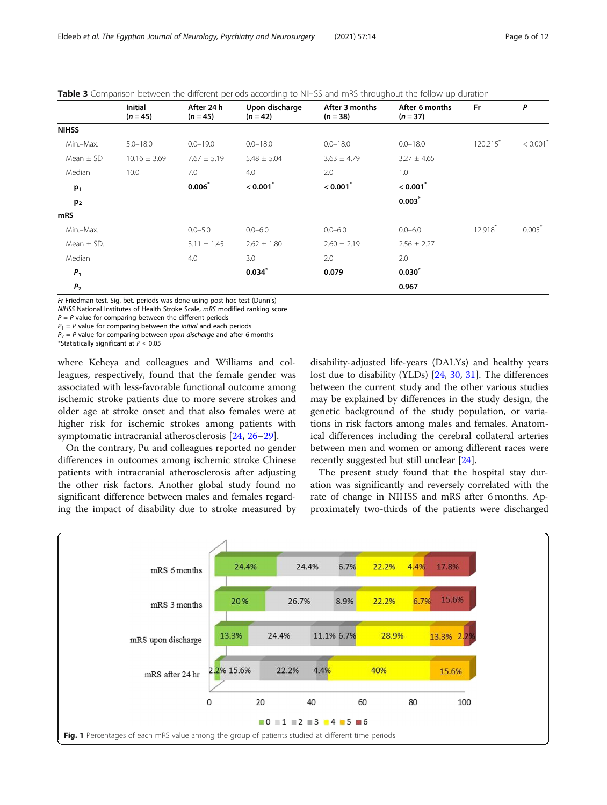|                | <b>Initial</b><br>$(n = 45)$ | After 24 h<br>$(n = 45)$ | Upon discharge<br>$(n = 42)$ | After 3 months<br>$(n = 38)$ | After 6 months<br>$(n = 37)$ | <b>Fr</b>              | P                      |
|----------------|------------------------------|--------------------------|------------------------------|------------------------------|------------------------------|------------------------|------------------------|
| <b>NIHSS</b>   |                              |                          |                              |                              |                              |                        |                        |
| Min.-Max.      | $5.0 - 18.0$                 | $0.0 - 19.0$             | $0.0 - 18.0$                 | $0.0 - 18.0$                 | $0.0 - 18.0$                 | $120.215$ <sup>*</sup> | $< 0.001$ <sup>*</sup> |
| Mean $\pm$ SD  | $10.16 \pm 3.69$             | $7.67 \pm 5.19$          | $5.48 \pm 5.04$              | $3.63 \pm 4.79$              | $3.27 \pm 4.65$              |                        |                        |
| Median         | 10.0                         | 7.0                      | 4.0                          | 2.0                          | 1.0                          |                        |                        |
| $p_1$          |                              | 0.006                    | < 0.001                      | < 0.001                      | < 0.001                      |                        |                        |
| p <sub>2</sub> |                              |                          |                              |                              | $0.003*$                     |                        |                        |
| <b>mRS</b>     |                              |                          |                              |                              |                              |                        |                        |
| Min.-Max.      |                              | $0.0 - 5.0$              | $0.0 - 6.0$                  | $0.0 - 6.0$                  | $0.0 - 6.0$                  | $12.918$ <sup>*</sup>  | $0.005*$               |
| Mean $\pm$ SD. |                              | $3.11 \pm 1.45$          | $2.62 \pm 1.80$              | $2.60 \pm 2.19$              | $2.56 \pm 2.27$              |                        |                        |
| Median         |                              | 4.0                      | 3.0                          | 2.0                          | 2.0                          |                        |                        |
| P <sub>1</sub> |                              |                          | $0.034*$                     | 0.079                        | $0.030*$                     |                        |                        |
| P <sub>2</sub> |                              |                          |                              |                              | 0.967                        |                        |                        |

<span id="page-5-0"></span>

|  |  | <b>Table 3</b> Comparison between the different periods according to NIHSS and mRS throughout the follow-up duration |  |  |
|--|--|----------------------------------------------------------------------------------------------------------------------|--|--|
|--|--|----------------------------------------------------------------------------------------------------------------------|--|--|

Fr Friedman test, Sig. bet. periods was done using post hoc test (Dunn's)

NIHSS National Institutes of Health Stroke Scale, mRS modified ranking score

 $P = P$  value for comparing between the different periods

 $P_1$  = P value for comparing between the *initial* and each periods

 $P_2 = P$  value for comparing between upon discharge and after 6 months

\*Statistically significant at  $P \leq 0.05$ 

where Keheya and colleagues and Williams and colleagues, respectively, found that the female gender was associated with less-favorable functional outcome among ischemic stroke patients due to more severe strokes and older age at stroke onset and that also females were at higher risk for ischemic strokes among patients with symptomatic intracranial atherosclerosis [\[24,](#page-10-0) [26](#page-10-0)–[29](#page-10-0)].

On the contrary, Pu and colleagues reported no gender differences in outcomes among ischemic stroke Chinese patients with intracranial atherosclerosis after adjusting the other risk factors. Another global study found no significant difference between males and females regarding the impact of disability due to stroke measured by

disability-adjusted life-years (DALYs) and healthy years lost due to disability (YLDs) [[24,](#page-10-0) [30,](#page-10-0) [31\]](#page-10-0). The differences between the current study and the other various studies may be explained by differences in the study design, the genetic background of the study population, or variations in risk factors among males and females. Anatomical differences including the cerebral collateral arteries between men and women or among different races were recently suggested but still unclear [[24\]](#page-10-0).

The present study found that the hospital stay duration was significantly and reversely correlated with the rate of change in NIHSS and mRS after 6 months. Approximately two-thirds of the patients were discharged

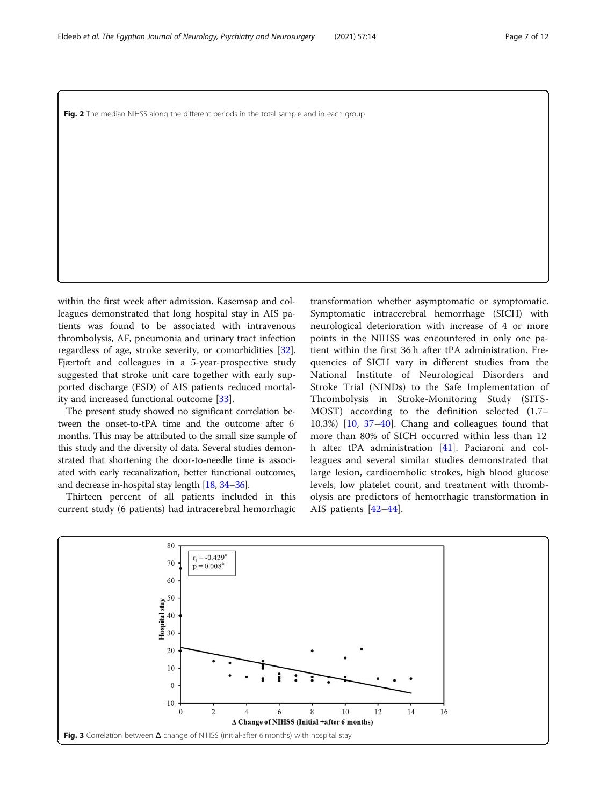<span id="page-6-0"></span>Fig. 2 The median NIHSS along the different periods in the total sample and in each group

within the first week after admission. Kasemsap and colleagues demonstrated that long hospital stay in AIS patients was found to be associated with intravenous thrombolysis, AF, pneumonia and urinary tract infection regardless of age, stroke severity, or comorbidities [\[32](#page-10-0)]. Fjærtoft and colleagues in a 5-year-prospective study suggested that stroke unit care together with early supported discharge (ESD) of AIS patients reduced mortality and increased functional outcome [[33\]](#page-10-0).

The present study showed no significant correlation between the onset-to-tPA time and the outcome after 6 months. This may be attributed to the small size sample of this study and the diversity of data. Several studies demonstrated that shortening the door-to-needle time is associated with early recanalization, better functional outcomes, and decrease in-hospital stay length [\[18,](#page-10-0) [34](#page-10-0)–[36](#page-10-0)].

Thirteen percent of all patients included in this current study (6 patients) had intracerebral hemorrhagic

transformation whether asymptomatic or symptomatic. Symptomatic intracerebral hemorrhage (SICH) with neurological deterioration with increase of 4 or more points in the NIHSS was encountered in only one patient within the first 36 h after tPA administration. Frequencies of SICH vary in different studies from the National Institute of Neurological Disorders and Stroke Trial (NINDs) to the Safe Implementation of Thrombolysis in Stroke-Monitoring Study (SITS-MOST) according to the definition selected (1.7– 10.3%) [\[10](#page-10-0), [37](#page-10-0)–[40](#page-10-0)]. Chang and colleagues found that more than 80% of SICH occurred within less than 12 h after tPA administration [\[41](#page-10-0)]. Paciaroni and colleagues and several similar studies demonstrated that large lesion, cardioembolic strokes, high blood glucose levels, low platelet count, and treatment with thrombolysis are predictors of hemorrhagic transformation in AIS patients [\[42](#page-10-0)–[44](#page-11-0)].

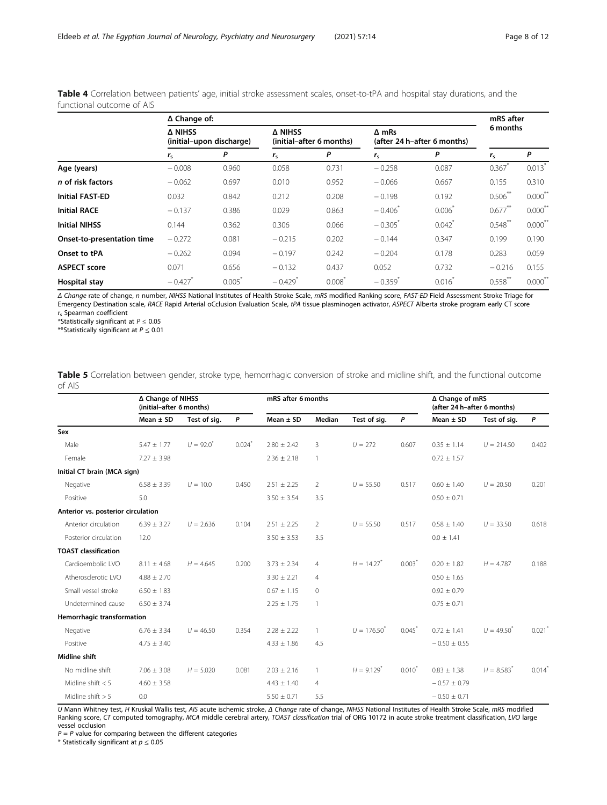|                            |                                     | ∆ Change of: |                                            |                   |                                             |                      |                      |                       |  |  |
|----------------------------|-------------------------------------|--------------|--------------------------------------------|-------------------|---------------------------------------------|----------------------|----------------------|-----------------------|--|--|
|                            | A NIHSS<br>(initial-upon discharge) |              | <b>A NIHSS</b><br>(initial-after 6 months) |                   | $\Delta$ mRs<br>(after 24 h-after 6 months) |                      | 6 months             |                       |  |  |
|                            | $r_{\rm s}$                         | P            | $r_{\rm s}$                                | P                 | $r_{\rm s}$                                 | P                    | $r_{\rm s}$          | P                     |  |  |
| Age (years)                | $-0.008$                            | 0.960        | 0.058                                      | 0.731             | $-0.258$                                    | 0.087                | $0.367$ <sup>*</sup> | $0.013*$              |  |  |
| n of risk factors          | $-0.062$                            | 0.697        | 0.010                                      | 0.952             | $-0.066$                                    | 0.667                | 0.155                | 0.310                 |  |  |
| <b>Initial FAST-ED</b>     | 0.032                               | 0.842        | 0.212                                      | 0.208             | $-0.198$                                    | 0.192                | $0.506$ **           | $0.000$ <sup>**</sup> |  |  |
| <b>Initial RACE</b>        | $-0.137$                            | 0.386        | 0.029                                      | 0.863             | $-0.406^*$                                  | $0.006*$             | $0.677***$           | $0.000$ <sup>**</sup> |  |  |
| <b>Initial NIHSS</b>       | 0.144                               | 0.362        | 0.306                                      | 0.066             | $-0.305$ <sup>*</sup>                       | $0.042$ <sup>*</sup> | $0.548$ **           | $0.000$ <sup>**</sup> |  |  |
| Onset-to-presentation time | $-0.272$                            | 0.081        | $-0.215$                                   | 0.202             | $-0.144$                                    | 0.347                | 0.199                | 0.190                 |  |  |
| Onset to tPA               | $-0.262$                            | 0.094        | $-0.197$                                   | 0.242             | $-0.204$                                    | 0.178                | 0.283                | 0.059                 |  |  |
| <b>ASPECT score</b>        | 0.071                               | 0.656        | $-0.132$                                   | 0.437             | 0.052                                       | 0.732                | $-0.216$             | 0.155                 |  |  |
| <b>Hospital stay</b>       | $-0.427$                            | 0.005        | $-0.429$                                   | $0.008^{\degree}$ | $-0.359$ <sup>*</sup>                       | $0.016^{\degree}$    | $0.558$ **           | 0.000                 |  |  |

<span id="page-7-0"></span>Table 4 Correlation between patients' age, initial stroke assessment scales, onset-to-tPA and hospital stay durations, and the functional outcome of AIS

Δ Change rate of change, n number, NIHSS National Institutes of Health Stroke Scale, mRS modified Ranking score, FAST-ED Field Assessment Stroke Triage for Emergency Destination scale, RACE Rapid Arterial oCclusion Evaluation Scale, tPA tissue plasminogen activator, ASPECT Alberta stroke program early CT score  $r_s$  Spearman coefficient

\*Statistically significant at  $P \le 0.05$ 

\*\*Statistically significant at  $P \le 0.01$ 

Table 5 Correlation between gender, stroke type, hemorrhagic conversion of stroke and midline shift, and the functional outcome of AIS

|                                    | ∆ Change of NIHSS<br>(initial-after 6 months) |                |       |                 | mRS after 6 months |                          |                      | ∆ Change of mRS<br>(after 24 h-after 6 months) |                 |                      |
|------------------------------------|-----------------------------------------------|----------------|-------|-----------------|--------------------|--------------------------|----------------------|------------------------------------------------|-----------------|----------------------|
|                                    | Mean $\pm$ SD                                 | Test of sig.   | P     | Mean $\pm$ SD   | Median             | Test of sig.             | P                    | Mean $\pm$ SD                                  | Test of sig.    | P                    |
| Sex                                |                                               |                |       |                 |                    |                          |                      |                                                |                 |                      |
| Male                               | $5.47 \pm 1.77$                               | $U = 92.0^{4}$ | 0.024 | $2.80 \pm 2.42$ | 3                  | $U = 272$                | 0.607                | $0.35 \pm 1.14$                                | $U = 214.50$    | 0.402                |
| Female                             | $7.27 \pm 3.98$                               |                |       | $2.36 \pm 2.18$ | $\overline{1}$     |                          |                      | $0.72 \pm 1.57$                                |                 |                      |
| Initial CT brain (MCA sign)        |                                               |                |       |                 |                    |                          |                      |                                                |                 |                      |
| Negative                           | $6.58 + 3.39$                                 | $U = 10.0$     | 0.450 | $2.51 \pm 2.25$ | $\overline{2}$     | $U = 55.50$              | 0.517                | $0.60 + 1.40$                                  | $U = 20.50$     | 0.201                |
| Positive                           | 5.0                                           |                |       | $3.50 \pm 3.54$ | 3.5                |                          |                      | $0.50 \pm 0.71$                                |                 |                      |
| Anterior vs. posterior circulation |                                               |                |       |                 |                    |                          |                      |                                                |                 |                      |
| Anterior circulation               | $6.39 \pm 3.27$                               | $U = 2.636$    | 0.104 | $2.51 \pm 2.25$ | 2                  | $U = 55.50$              | 0.517                | $0.58 \pm 1.40$                                | $U = 33.50$     | 0.618                |
| Posterior circulation              | 12.0                                          |                |       | $3.50 \pm 3.53$ | 3.5                |                          |                      | $0.0 \pm 1.41$                                 |                 |                      |
| <b>TOAST classification</b>        |                                               |                |       |                 |                    |                          |                      |                                                |                 |                      |
| Cardioembolic LVO                  | $8.11 \pm 4.68$                               | $H = 4.645$    | 0.200 | $3.73 \pm 2.34$ | $\overline{4}$     | $H = 14.27$ <sup>*</sup> | $0.003*$             | $0.20 \pm 1.82$                                | $H = 4.787$     | 0.188                |
| Atherosclerotic LVO                | $4.88 \pm 2.70$                               |                |       | $3.30 \pm 2.21$ | $\overline{4}$     |                          |                      | $0.50 \pm 1.65$                                |                 |                      |
| Small vessel stroke                | $6.50 \pm 1.83$                               |                |       | $0.67 \pm 1.15$ | $\Omega$           |                          |                      | $0.92 \pm 0.79$                                |                 |                      |
| Undetermined cause                 | $6.50 \pm 3.74$                               |                |       | $2.25 \pm 1.75$ | $\mathbf{1}$       |                          |                      | $0.75 \pm 0.71$                                |                 |                      |
| Hemorrhagic transformation         |                                               |                |       |                 |                    |                          |                      |                                                |                 |                      |
| Negative                           | $6.76 \pm 3.34$                               | $U = 46.50$    | 0.354 | $7.28 + 2.22$   | $\mathbf{1}$       | $U = 176.50^{*}$         | $0.045$ <sup>*</sup> | $0.72 + 1.41$                                  | $U = 49.50^{4}$ | 0.021                |
| Positive                           | $4.75 \pm 3.40$                               |                |       | $4.33 \pm 1.86$ | 4.5                |                          |                      | $-0.50 \pm 0.55$                               |                 |                      |
| <b>Midline shift</b>               |                                               |                |       |                 |                    |                          |                      |                                                |                 |                      |
| No midline shift                   | $7.06 \pm 3.08$                               | $H = 5.020$    | 0.081 | $2.03 \pm 2.16$ | $\mathbf{1}$       | $H = 9.129$ <sup>*</sup> | $0.010^*$            | $0.83 \pm 1.38$                                | $H = 8.583^{*}$ | $0.014$ <sup>*</sup> |
| Midline shift $< 5$                | $4.60 \pm 3.58$                               |                |       | $4.43 \pm 1.40$ | $\overline{4}$     |                          |                      | $-0.57 \pm 0.79$                               |                 |                      |
| Midline shift $> 5$                | 0.0                                           |                |       | $5.50 \pm 0.71$ | 5.5                |                          |                      | $-0.50 \pm 0.71$                               |                 |                      |

U Mann Whitney test, H Kruskal Wallis test, AIS acute ischemic stroke, Δ Change rate of change, NIHSS National Institutes of Health Stroke Scale, mRS modified Ranking score, CT computed tomography, MCA middle cerebral artery, TOAST classification trial of ORG 10172 in acute stroke treatment classification, LVO large vessel occlusion

 $P = P$  value for comparing between the different categories

\* Statistically significant at  $p \leq 0.05$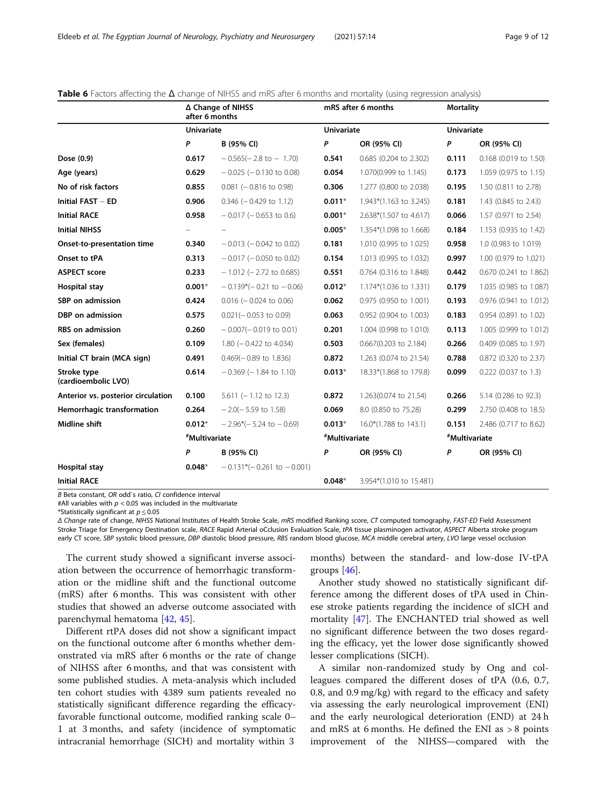|                                    | ∆ Change of NIHSS<br>after 6 months |                                  | mRS after 6 months |                         | <b>Mortality</b>  |                        |  |
|------------------------------------|-------------------------------------|----------------------------------|--------------------|-------------------------|-------------------|------------------------|--|
|                                    | <b>Univariate</b>                   |                                  | <b>Univariate</b>  |                         | <b>Univariate</b> |                        |  |
|                                    | P                                   | B (95% CI)                       | P                  | OR (95% CI)             | P                 | OR (95% CI)            |  |
| Dose (0.9)                         | 0.617                               | $-0.565(-2.8 \text{ to } -1.70)$ | 0.541              | 0.685 (0.204 to 2.302)  | 0.111             | 0.168 (0.019 to 1.50)  |  |
| Age (years)                        | 0.629                               | $-0.025$ ( $-0.130$ to 0.08)     | 0.054              | 1.070(0.999 to 1.145)   | 0.173             | 1.059 (0.975 to 1.15)  |  |
| No of risk factors                 | 0.855                               | $0.081$ (-0.816 to 0.98)         | 0.306              | 1.277 (0.800 to 2.038)  | 0.195             | 1.50 (0.811 to 2.78)   |  |
| <b>Initial FAST - ED</b>           | 0.906                               | $0.346$ ( $-0.429$ to 1.12)      | $0.011*$           | 1.943*(1.163 to 3.245)  | 0.181             | 1.43 (0.845 to 2.43)   |  |
| <b>Initial RACE</b>                | 0.958                               | $-0.017$ ( $-0.653$ to 0.6)      | $0.001*$           | 2.638*(1.507 to 4.617)  | 0.066             | 1.57 (0.971 to 2.54)   |  |
| <b>Initial NIHSS</b>               |                                     |                                  | $0.005*$           | 1.354*(1.098 to 1.668)  | 0.184             | 1.153 (0.935 to 1.42)  |  |
| Onset-to-presentation time         | 0.340                               | $-0.013$ ( $-0.042$ to 0.02)     | 0.181              | 1.010 (0.995 to 1.025)  | 0.958             | 1.0 (0.983 to 1.019)   |  |
| Onset to tPA                       | 0.313                               | $-0.017$ ( $-0.050$ to 0.02)     | 0.154              | 1.013 (0.995 to 1.032)  | 0.997             | 1.00 (0.979 to 1.021)  |  |
| <b>ASPECT score</b>                | 0.233                               | $-1.012$ ( $-2.72$ to 0.685)     | 0.551              | 0.764 (0.316 to 1.848)  | 0.442             | 0.670 (0.241 to 1.862) |  |
| <b>Hospital stay</b>               | $0.001*$                            | $-0.139*(-0.21$ to $-0.06$ )     | $0.012*$           | 1.174*(1.036 to 1.331)  | 0.179             | 1.035 (0.985 to 1.087) |  |
| SBP on admission                   | 0.424                               | $0.016$ (- 0.024 to 0.06)        | 0.062              | 0.975 (0.950 to 1.001)  | 0.193             | 0.976 (0.941 to 1.012) |  |
| DBP on admission                   | 0.575                               | $0.021(-0.053$ to 0.09)          | 0.063              | 0.952 (0.904 to 1.003)  | 0.183             | 0.954 (0.891 to 1.02)  |  |
| <b>RBS</b> on admission            | 0.260                               | $-0.007(-0.019$ to 0.01)         | 0.201              | 1.004 (0.998 to 1.010)  | 0.113             | 1.005 (0.999 to 1.012) |  |
| Sex (females)                      | 0.109                               | 1.80 ( $-$ 0.422 to 4.034)       | 0.503              | 0.667(0.203 to 2.184)   | 0.266             | 0.409 (0.085 to 1.97)  |  |
| Initial CT brain (MCA sign)        | 0.491                               | $0.469(-0.89)$ to 1.836)         | 0.872              | 1.263 (0.074 to 21.54)  | 0.788             | 0.872 (0.320 to 2.37)  |  |
| Stroke type<br>(cardioembolic LVO) | 0.614                               | $-0.369$ ( $-1.84$ to 1.10)      | $0.013*$           | 18.33*(1.868 to 179.8)  | 0.099             | $0.222$ (0.037 to 1.3) |  |
| Anterior vs. posterior circulation | 0.100                               | $5.611$ (-1.12 to 12.3)          | 0.872              | 1.263(0.074 to 21.54)   | 0.266             | 5.14 (0.286 to 92.3)   |  |
| Hemorrhagic transformation         | 0.264                               | $-2.0(-5.59$ to 1.58)            | 0.069              | 8.0 (0.850 to 75.28)    | 0.299             | 2.750 (0.408 to 18.5)  |  |
| Midline shift                      | $0.012*$                            | $-2.96*(-5.24$ to $-0.69$ )      | $0.013*$           | 16.0*(1.788 to 143.1)   | 0.151             | 2.486 (0.717 to 8.62)  |  |
|                                    |                                     | #Multivariate                    |                    | #Multivariate           | #Multivariate     |                        |  |
|                                    | P                                   | B (95% CI)                       | P                  | OR (95% CI)             | P                 | OR (95% CI)            |  |
| <b>Hospital stay</b>               | $0.048*$                            | $-0.131*(-0.261$ to $-0.001$ )   |                    |                         |                   |                        |  |
| <b>Initial RACE</b>                |                                     |                                  | $0.048*$           | 3.954*(1.010 to 15.481) |                   |                        |  |

#### <span id="page-8-0"></span>Table 6 Factors affecting the  $\Delta$  change of NIHSS and mRS after 6 months and mortality (using regression analysis)

B Beta constant, OR odd`s ratio, CI confidence interval

#All variables with  $p < 0.05$  was included in the multivariate

\*Statistically significant at  $p \le 0.05$ 

Δ Change rate of change, NIHSS National Institutes of Health Stroke Scale, mRS modified Ranking score, CT computed tomography, FAST-ED Field Assessment Stroke Triage for Emergency Destination scale, RACE Rapid Arterial oCclusion Evaluation Scale, tPA tissue plasminogen activator, ASPECT Alberta stroke program early CT score, SBP systolic blood pressure, DBP diastolic blood pressure, RBS random blood glucose, MCA middle cerebral artery, LVO large vessel occlusion

The current study showed a significant inverse association between the occurrence of hemorrhagic transformation or the midline shift and the functional outcome (mRS) after 6 months. This was consistent with other studies that showed an adverse outcome associated with parenchymal hematoma [\[42](#page-10-0), [45\]](#page-11-0).

Different rtPA doses did not show a significant impact on the functional outcome after 6 months whether demonstrated via mRS after 6 months or the rate of change of NIHSS after 6 months, and that was consistent with some published studies. A meta-analysis which included ten cohort studies with 4389 sum patients revealed no statistically significant difference regarding the efficacyfavorable functional outcome, modified ranking scale 0– 1 at 3 months, and safety (incidence of symptomatic intracranial hemorrhage (SICH) and mortality within 3

months) between the standard- and low-dose IV-tPA groups  $[46]$  $[46]$  $[46]$ .

Another study showed no statistically significant difference among the different doses of tPA used in Chinese stroke patients regarding the incidence of sICH and mortality [\[47](#page-11-0)]. The ENCHANTED trial showed as well no significant difference between the two doses regarding the efficacy, yet the lower dose significantly showed lesser complications (SICH).

A similar non-randomized study by Ong and colleagues compared the different doses of tPA (0.6, 0.7, 0.8, and 0.9 mg/kg) with regard to the efficacy and safety via assessing the early neurological improvement (ENI) and the early neurological deterioration (END) at 24 h and mRS at 6 months. He defined the ENI as > 8 points improvement of the NIHSS—compared with the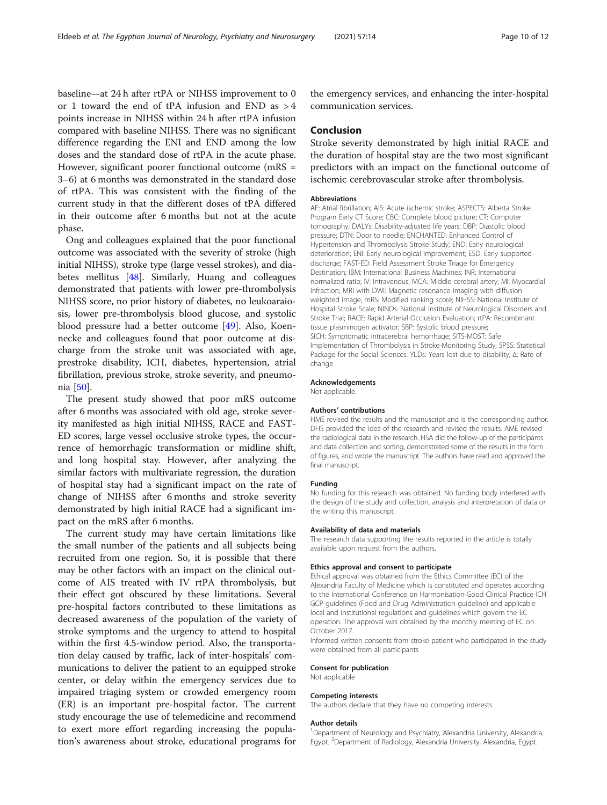baseline—at 24 h after rtPA or NIHSS improvement to 0 or 1 toward the end of tPA infusion and END as > 4 points increase in NIHSS within 24 h after rtPA infusion compared with baseline NIHSS. There was no significant difference regarding the ENI and END among the low doses and the standard dose of rtPA in the acute phase. However, significant poorer functional outcome (mRS = 3–6) at 6 months was demonstrated in the standard dose of rtPA. This was consistent with the finding of the current study in that the different doses of tPA differed in their outcome after 6 months but not at the acute phase.

Ong and colleagues explained that the poor functional outcome was associated with the severity of stroke (high initial NIHSS), stroke type (large vessel strokes), and diabetes mellitus [[48](#page-11-0)]. Similarly, Huang and colleagues demonstrated that patients with lower pre-thrombolysis NIHSS score, no prior history of diabetes, no leukoaraiosis, lower pre-thrombolysis blood glucose, and systolic blood pressure had a better outcome [\[49](#page-11-0)]. Also, Koennecke and colleagues found that poor outcome at discharge from the stroke unit was associated with age, prestroke disability, ICH, diabetes, hypertension, atrial fibrillation, previous stroke, stroke severity, and pneumonia [\[50\]](#page-11-0).

The present study showed that poor mRS outcome after 6 months was associated with old age, stroke severity manifested as high initial NIHSS, RACE and FAST-ED scores, large vessel occlusive stroke types, the occurrence of hemorrhagic transformation or midline shift, and long hospital stay. However, after analyzing the similar factors with multivariate regression, the duration of hospital stay had a significant impact on the rate of change of NIHSS after 6 months and stroke severity demonstrated by high initial RACE had a significant impact on the mRS after 6 months.

The current study may have certain limitations like the small number of the patients and all subjects being recruited from one region. So, it is possible that there may be other factors with an impact on the clinical outcome of AIS treated with IV rtPA thrombolysis, but their effect got obscured by these limitations. Several pre-hospital factors contributed to these limitations as decreased awareness of the population of the variety of stroke symptoms and the urgency to attend to hospital within the first 4.5-window period. Also, the transportation delay caused by traffic, lack of inter-hospitals' communications to deliver the patient to an equipped stroke center, or delay within the emergency services due to impaired triaging system or crowded emergency room (ER) is an important pre-hospital factor. The current study encourage the use of telemedicine and recommend to exert more effort regarding increasing the population's awareness about stroke, educational programs for

the emergency services, and enhancing the inter-hospital communication services.

## Conclusion

Stroke severity demonstrated by high initial RACE and the duration of hospital stay are the two most significant predictors with an impact on the functional outcome of ischemic cerebrovascular stroke after thrombolysis.

## Abbreviations

AF: Atrial fibrillation; AIS: Acute ischemic stroke; ASPECTS: Alberta Stroke Program Early CT Score; CBC: Complete blood picture; CT: Computer tomography; DALYs: Disability-adjusted life years; DBP: Diastolic blood pressure; DTN: Door to needle; ENCHANTED: Enhanced Control of Hypertension and Thrombolysis Stroke Study; END: Early neurological deterioration; ENI: Early neurological improvement; ESD: Early supported discharge; FAST-ED: Field Assessment Stroke Triage for Emergency Destination; IBM: International Business Machines; INR: International normalized ratio; IV: Intravenous; MCA: Middle cerebral artery; MI: Myocardial infraction; MRI with DWI: Magnetic resonance imaging with diffusion weighted image; mRS: Modified ranking score; NIHSS: National Institute of Hospital Stroke Scale; NINDs: National Institute of Neurological Disorders and Stroke Trial; RACE: Rapid Arterial Occlusion Evaluation; rtPA: Recombinant tissue plasminogen activator; SBP: Systolic blood pressure; SICH: Symptomatic intracerebral hemorrhage; SITS-MOST: Safe Implementation of Thrombolysis in Stroke-Monitoring Study; SPSS: Statistical Package for the Social Sciences; YLDs: Years lost due to disability; Δ: Rate of change

#### Acknowledgements

Not applicable.

#### Authors' contributions

HME revised the results and the manuscript and is the corresponding author. DHS provided the idea of the research and revised the results. AME revised the radiological data in the research. HSA did the follow-up of the participants and data collection and sorting, demonstrated some of the results in the form of figures, and wrote the manuscript. The authors have read and approved the final manuscript.

#### Funding

No funding for this research was obtained. No funding body interfered with the design of the study and collection, analysis and interpretation of data or the writing this manuscript.

#### Availability of data and materials

The research data supporting the results reported in the article is totally available upon request from the authors.

#### Ethics approval and consent to participate

Ethical approval was obtained from the Ethics Committee (EC) of the Alexandria Faculty of Medicine which is constituted and operates according to the International Conference on Harmonisation-Good Clinical Practice ICH GCP guidelines (Food and Drug Administration guideline) and applicable local and institutional regulations and guidelines which govern the EC operation. The approval was obtained by the monthly meeting of EC on October 2017.

Informed written consents from stroke patient who participated in the study were obtained from all participants

## Consent for publication

Not applicable

#### Competing interests

The authors declare that they have no competing interests.

#### Author details

<sup>1</sup> Department of Neurology and Psychiatry, Alexandria University, Alexandria, Egypt. <sup>2</sup> Department of Radiology, Alexandria University, Alexandria, Egypt.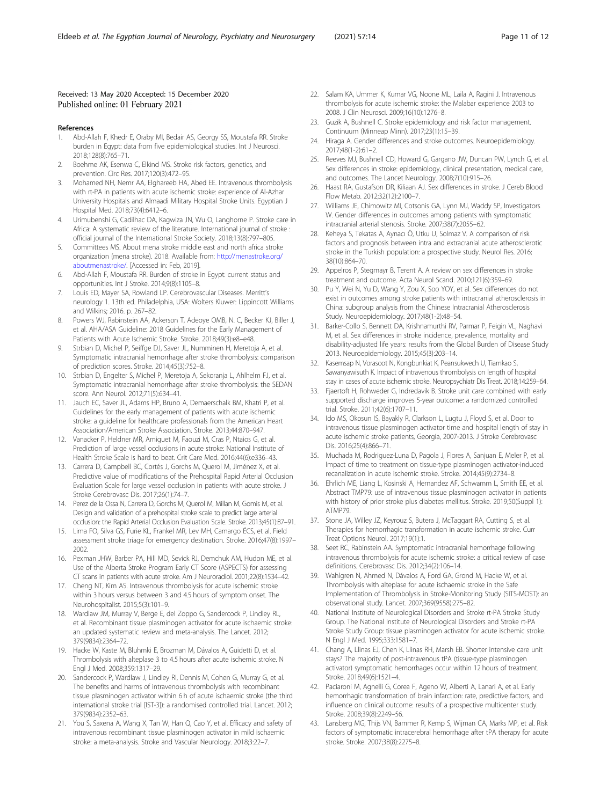## <span id="page-10-0"></span>Received: 13 May 2020 Accepted: 15 December 2020 Published online: 01 February 2021

#### References

- 1. Abd-Allah F, Khedr E, Oraby MI, Bedair AS, Georgy SS, Moustafa RR. Stroke burden in Egypt: data from five epidemiological studies. Int J Neurosci. 2018;128(8):765–71.
- 2. Boehme AK, Esenwa C, Elkind MS. Stroke risk factors, genetics, and prevention. Circ Res. 2017;120(3):472–95.
- 3. Mohamed NH, Nemr AA, Elghareeb HA, Abed EE. Intravenous thrombolysis with rt-PA in patients with acute ischemic stroke: experience of Al-Azhar University Hospitals and Almaadi Military Hospital Stroke Units. Egyptian J Hospital Med. 2018;73(4):6412–6.
- 4. Urimubenshi G, Cadilhac DA, Kagwiza JN, Wu O, Langhorne P. Stroke care in Africa: A systematic review of the literature. International journal of stroke : official journal of the International Stroke Society. 2018;13(8):797–805.
- 5. Committees MS. About mena stroke middle east and north africa stroke organization (mena stroke). 2018. Available from: [http://menastroke.org/](http://menastroke.org/aboutmenastroke/) [aboutmenastroke/.](http://menastroke.org/aboutmenastroke/) [Accessed in: Feb, 2019].
- 6. Abd-Allah F, Moustafa RR. Burden of stroke in Egypt: current status and opportunities. Int J Stroke. 2014;9(8):1105–8.
- 7. Louis ED, Mayer SA, Rowland LP. Cerebrovascular Diseases. Merritt's neurology 1. 13th ed. Philadelphia, USA: Wolters Kluwer: Lippincott Williams and Wilkins; 2016. p. 267–82.
- 8. Powers WJ, Rabinstein AA, Ackerson T, Adeoye OMB, N. C, Becker KJ, Biller J, et al. AHA/ASA Guideline: 2018 Guidelines for the Early Management of Patients with Acute Ischemic Stroke. Stroke. 2018;49(3):e8–e48.
- Strbian D, Michel P, Seiffge DJ, Saver JL, Numminen H, Meretoja A, et al. Symptomatic intracranial hemorrhage after stroke thrombolysis: comparison of prediction scores. Stroke. 2014;45(3):752–8.
- 10. Strbian D, Engelter S, Michel P, Meretoja A, Sekoranja L, Ahlhelm FJ, et al. Symptomatic intracranial hemorrhage after stroke thrombolysis: the SEDAN score. Ann Neurol. 2012;71(5):634–41.
- 11. Jauch EC, Saver JL, Adams HP, Bruno A, Demaerschalk BM, Khatri P, et al. Guidelines for the early management of patients with acute ischemic stroke: a guideline for healthcare professionals from the American Heart Association/American Stroke Association. Stroke. 2013;44:870–947.
- 12. Vanacker P, Heldner MR, Amiguet M, Faouzi M, Cras P, Ntaios G, et al. Prediction of large vessel occlusions in acute stroke: National Institute of Health Stroke Scale is hard to beat. Crit Care Med. 2016;44(6):e336–43.
- 13. Carrera D, Campbell BC, Cortés J, Gorchs M, Querol M, Jiménez X, et al. Predictive value of modifications of the Prehospital Rapid Arterial Occlusion Evaluation Scale for large vessel occlusion in patients with acute stroke. J Stroke Cerebrovasc Dis. 2017;26(1):74–7.
- 14. Perez de la Ossa N, Carrera D, Gorchs M, Querol M, Millan M, Gomis M, et al. Design and validation of a prehospital stroke scale to predict large arterial occlusion: the Rapid Arterial Occlusion Evaluation Scale. Stroke. 2013;45(1):87–91.
- 15. Lima FO, Silva GS, Furie KL, Frankel MR, Lev MH, Camargo ÉCS, et al. Field assessment stroke triage for emergency destination. Stroke. 2016;47(8):1997– 2002.
- 16. Pexman JHW, Barber PA, Hill MD, Sevick RJ, Demchuk AM, Hudon ME, et al. Use of the Alberta Stroke Program Early CT Score (ASPECTS) for assessing CT scans in patients with acute stroke. Am J Neuroradiol. 2001;22(8):1534–42.
- 17. Cheng NT, Kim AS. Intravenous thrombolysis for acute ischemic stroke within 3 hours versus between 3 and 4.5 hours of symptom onset. The Neurohospitalist. 2015;5(3):101–9.
- 18. Wardlaw JM, Murray V, Berge E, del Zoppo G, Sandercock P, Lindley RL, et al. Recombinant tissue plasminogen activator for acute ischaemic stroke: an updated systematic review and meta-analysis. The Lancet. 2012; 379(9834):2364–72.
- 19. Hacke W, Kaste M, Bluhmki E, Brozman M, Dávalos A, Guidetti D, et al. Thrombolysis with alteplase 3 to 4.5 hours after acute ischemic stroke. N Engl J Med. 2008;359:1317–29.
- 20. Sandercock P, Wardlaw J, Lindley RI, Dennis M, Cohen G, Murray G, et al. The benefits and harms of intravenous thrombolysis with recombinant tissue plasminogen activator within 6 h of acute ischaemic stroke (the third international stroke trial [IST-3]): a randomised controlled trial. Lancet. 2012; 379(9834):2352–63.
- 21. You S, Saxena A, Wang X, Tan W, Han Q, Cao Y, et al. Efficacy and safety of intravenous recombinant tissue plasminogen activator in mild ischaemic stroke: a meta-analysis. Stroke and Vascular Neurology. 2018;3:22–7.
- 22. Salam KA, Ummer K, Kumar VG, Noone ML, Laila A, Ragini J. Intravenous thrombolysis for acute ischemic stroke: the Malabar experience 2003 to 2008. J Clin Neurosci. 2009;16(10):1276–8.
- 23. Guzik A, Bushnell C. Stroke epidemiology and risk factor management. Continuum (Minneap Minn). 2017;23(1):15–39.
- 24. Hiraga A. Gender differences and stroke outcomes. Neuroepidemiology. 2017;48(1-2):61–2.
- 25. Reeves MJ, Bushnell CD, Howard G, Gargano JW, Duncan PW, Lynch G, et al. Sex differences in stroke: epidemiology, clinical presentation, medical care, and outcomes. The Lancet Neurology. 2008;7(10):915–26.
- 26. Haast RA, Gustafson DR, Kiliaan AJ. Sex differences in stroke. J Cereb Blood Flow Metab. 2012;32(12):2100–7.
- 27. Williams JE, Chimowitz MI, Cotsonis GA, Lynn MJ, Waddy SP, Investigators W. Gender differences in outcomes among patients with symptomatic intracranial arterial stenosis. Stroke. 2007;38(7):2055–62.
- 28. Keheya S, Tekatas A, Aynacı Ö, Utku U, Solmaz V. A comparison of risk factors and prognosis between intra and extracranial acute atherosclerotic stroke in the Turkish population: a prospective study. Neurol Res. 2016; 38(10):864–70.
- 29. Appelros P, Stegmayr B, Terent A. A review on sex differences in stroke treatment and outcome. Acta Neurol Scand. 2010;121(6):359–69.
- 30. Pu Y, Wei N, Yu D, Wang Y, Zou X, Soo YOY, et al. Sex differences do not exist in outcomes among stroke patients with intracranial atherosclerosis in China: subgroup analysis from the Chinese Intracranial Atherosclerosis Study. Neuroepidemiology. 2017;48(1-2):48–54.
- 31. Barker-Collo S, Bennett DA, Krishnamurthi RV, Parmar P, Feigin VL, Naghavi M, et al. Sex differences in stroke incidence, prevalence, mortality and disability-adjusted life years: results from the Global Burden of Disease Study 2013. Neuroepidemiology. 2015;45(3):203–14.
- 32. Kasemsap N, Vorasoot N, Kongbunkiat K, Peansukwech U, Tiamkao S, Sawanyawisuth K. Impact of intravenous thrombolysis on length of hospital stay in cases of acute ischemic stroke. Neuropsychiatr Dis Treat. 2018;14:259–64.
- 33. Fjaertoft H, Rohweder G, Indredavik B. Stroke unit care combined with early supported discharge improves 5-year outcome: a randomized controlled trial. Stroke. 2011;42(6):1707–11.
- 34. Ido MS, Okosun IS, Bayakly R, Clarkson L, Lugtu J, Floyd S, et al. Door to intravenous tissue plasminogen activator time and hospital length of stay in acute ischemic stroke patients, Georgia, 2007-2013. J Stroke Cerebrovasc Dis. 2016;25(4):866–71.
- 35. Muchada M, Rodriguez-Luna D, Pagola J, Flores A, Sanjuan E, Meler P, et al. Impact of time to treatment on tissue-type plasminogen activator-induced recanalization in acute ischemic stroke. Stroke. 2014;45(9):2734–8.
- 36. Ehrlich ME, Liang L, Kosinski A, Hernandez AF, Schwamm L, Smith EE, et al. Abstract TMP79: use of intravenous tissue plasminogen activator in patients with history of prior stroke plus diabetes mellitus. Stroke. 2019;50(Suppl 1): ATMP79.
- 37. Stone JA, Willey JZ, Keyrouz S, Butera J, McTaggart RA, Cutting S, et al. Therapies for hemorrhagic transformation in acute ischemic stroke. Curr Treat Options Neurol. 2017;19(1):1.
- 38. Seet RC, Rabinstein AA. Symptomatic intracranial hemorrhage following intravenous thrombolysis for acute ischemic stroke: a critical review of case definitions. Cerebrovasc Dis. 2012;34(2):106–14.
- 39. Wahlgren N, Ahmed N, Dávalos A, Ford GA, Grond M, Hacke W, et al. Thrombolysis with alteplase for acute ischaemic stroke in the Safe Implementation of Thrombolysis in Stroke-Monitoring Study (SITS-MOST): an observational study. Lancet. 2007;369(9558):275–82.
- 40. National Institute of Neurological Disorders and Stroke rt-PA Stroke Study Group. The National Institute of Neurological Disorders and Stroke rt-PA Stroke Study Group: tissue plasminogen activator for acute ischemic stroke. N Engl J Med. 1995;333:1581–7.
- 41. Chang A, Llinas EJ, Chen K, Llinas RH, Marsh EB. Shorter intensive care unit stays? The majority of post-intravenous tPA (tissue-type plasminogen activator) symptomatic hemorrhages occur within 12 hours of treatment. Stroke. 2018;49(6):1521–4.
- 42. Paciaroni M, Agnelli G, Corea F, Ageno W, Alberti A, Lanari A, et al. Early hemorrhagic transformation of brain infarction: rate, predictive factors, and influence on clinical outcome: results of a prospective multicenter study. Stroke. 2008;39(8):2249–56.
- 43. Lansberg MG, Thijs VN, Bammer R, Kemp S, Wijman CA, Marks MP, et al. Risk factors of symptomatic intracerebral hemorrhage after tPA therapy for acute stroke. Stroke. 2007;38(8):2275–8.